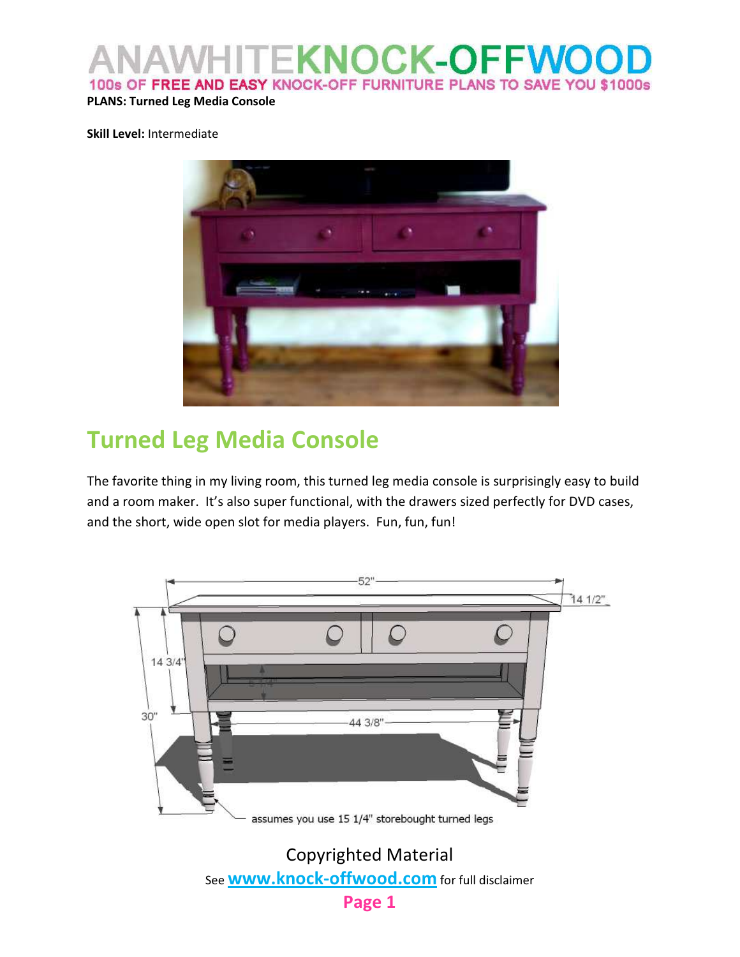#### **KNOCK-OFFWO** 100s OF FREE AND EASY KNOCK-OFF FURNITURE PLANS TO SAVE YOU \$1000s

#### PLANS: Turned Leg Media Console

#### Skill Level: Intermediate



# Turned Leg Media Console

The favorite thing in my living room, this turned leg media console is surprisingly easy to build and a room maker. It's also super functional, with the drawers sized perfectly for DVD cases, and the short, wide open slot for media players. Fun, fun, fun!

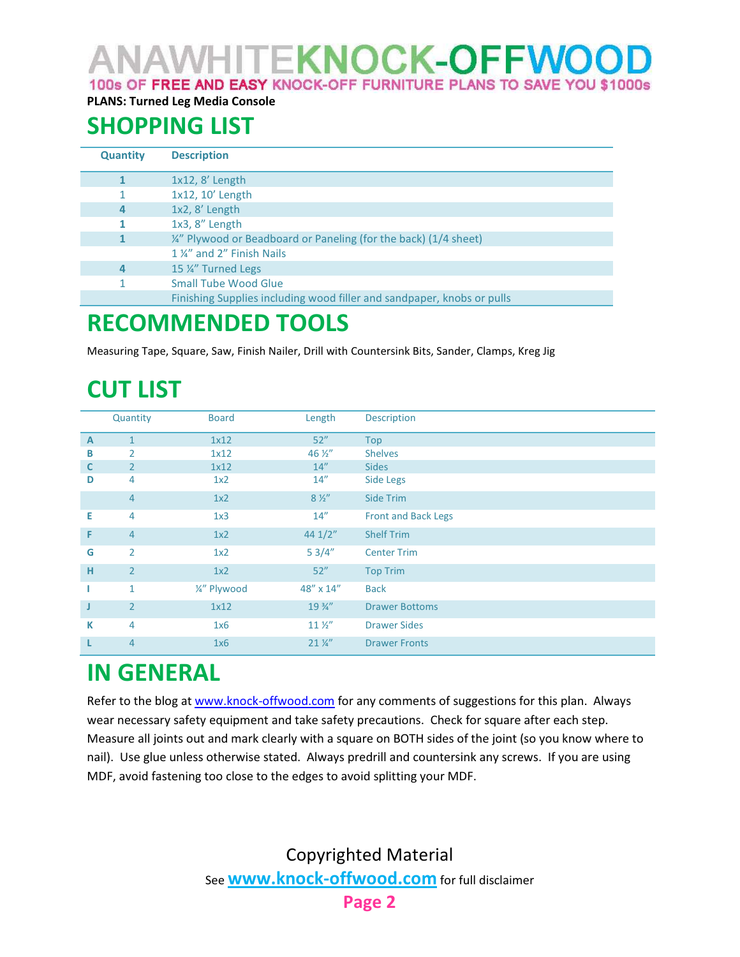ANAWHITE**KNOCK-OFFWOOI** 100s OF FREE AND EASY KNOCK-OFF FURNITURE PLANS TO SAVE YOU \$1000s

PLANS: Turned Leg Media Console

# SHOPPING LIST

| <b>Quantity</b> | <b>Description</b>                                                          |  |  |
|-----------------|-----------------------------------------------------------------------------|--|--|
|                 | $1x12, 8'$ Length                                                           |  |  |
|                 | 1x12, 10' Length                                                            |  |  |
| 4               | $1x2, 8'$ Length                                                            |  |  |
|                 | $1x3, 8''$ Length                                                           |  |  |
|                 | $\frac{1}{4}$ " Plywood or Beadboard or Paneling (for the back) (1/4 sheet) |  |  |
|                 | 1 %" and 2" Finish Nails                                                    |  |  |
| 4               | 15 %" Turned Legs                                                           |  |  |
|                 | <b>Small Tube Wood Glue</b>                                                 |  |  |
|                 | Finishing Supplies including wood filler and sandpaper, knobs or pulls      |  |  |

# RECOMMENDED TOOLS

Measuring Tape, Square, Saw, Finish Nailer, Drill with Countersink Bits, Sander, Clamps, Kreg Jig

# CUT LIST

|              | Quantity       | <b>Board</b>    | Length           | Description                |
|--------------|----------------|-----------------|------------------|----------------------------|
| $\mathbf{A}$ | $\mathbf{1}$   | 1x12            | 52"              | <b>Top</b>                 |
| В            | 2              | 1x12            | 46 $\frac{1}{2}$ | <b>Shelves</b>             |
| C            | $\overline{2}$ | 1x12            | 14''             | <b>Sides</b>               |
| D            | 4              | 1x2             | 14"              | <b>Side Legs</b>           |
|              | $\overline{4}$ | 1x2             | $8\frac{1}{2}$   | Side Trim                  |
| Е            | 4              | 1x3             | 14"              | <b>Front and Back Legs</b> |
| F            | $\overline{4}$ | 1x2             | 441/2"           | <b>Shelf Trim</b>          |
| G            | 2              | 1x <sub>2</sub> | 53/4"            | <b>Center Trim</b>         |
| н            | $\overline{2}$ | 1x2             | 52"              | <b>Top Trim</b>            |
|              | $\mathbf{1}$   | 1/4" Plywood    | 48" x 14"        | <b>Back</b>                |
| J            | $\overline{2}$ | 1x12            | $19\frac{3}{4}$  | <b>Drawer Bottoms</b>      |
| К            | $\overline{4}$ | 1x6             | $11\frac{1}{2}$  | <b>Drawer Sides</b>        |
|              | $\overline{4}$ | 1x6             | $21\frac{1}{4}$  | <b>Drawer Fronts</b>       |

#### IN GENERAL

Refer to the blog at www.knock-offwood.com for any comments of suggestions for this plan. Always wear necessary safety equipment and take safety precautions. Check for square after each step. Measure all joints out and mark clearly with a square on BOTH sides of the joint (so you know where to nail). Use glue unless otherwise stated. Always predrill and countersink any screws. If you are using MDF, avoid fastening too close to the edges to avoid splitting your MDF.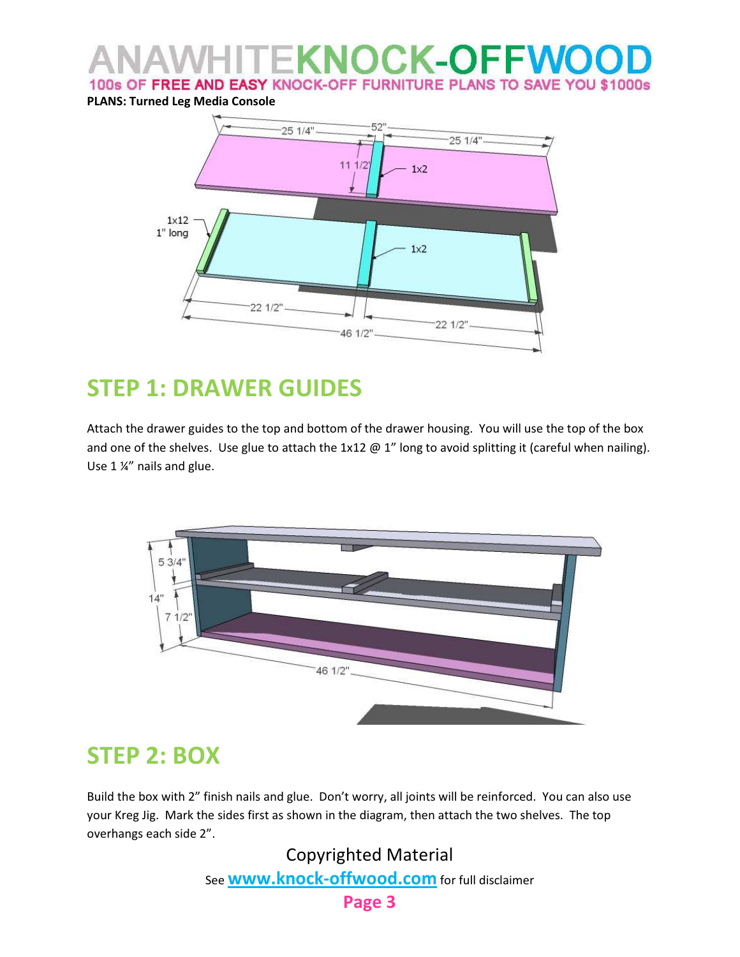#### **KNOCK-OFFWO** 100s OF FREE AND EASY KNOCK-OFF FURNITURE PLANS TO SAVE YOU \$1000s

PLANS: Turned Leg Media Console



## STEP 1: DRAWER GUIDES

Attach the drawer guides to the top and bottom of the drawer housing. You will use the top of the box and one of the shelves. Use glue to attach the  $1x12 \oplus 1''$  long to avoid splitting it (careful when nailing). Use 1 ¼" nails and glue.



#### STEP 2: BOX

Build the box with 2" finish nails and glue. Don't worry, all joints will be reinforced. You can also use your Kreg Jig. Mark the sides first as shown in the diagram, then attach the two shelves. The top overhangs each side 2".

> Copyrighted Material See **www.knock-offwood.com** for full disclaimer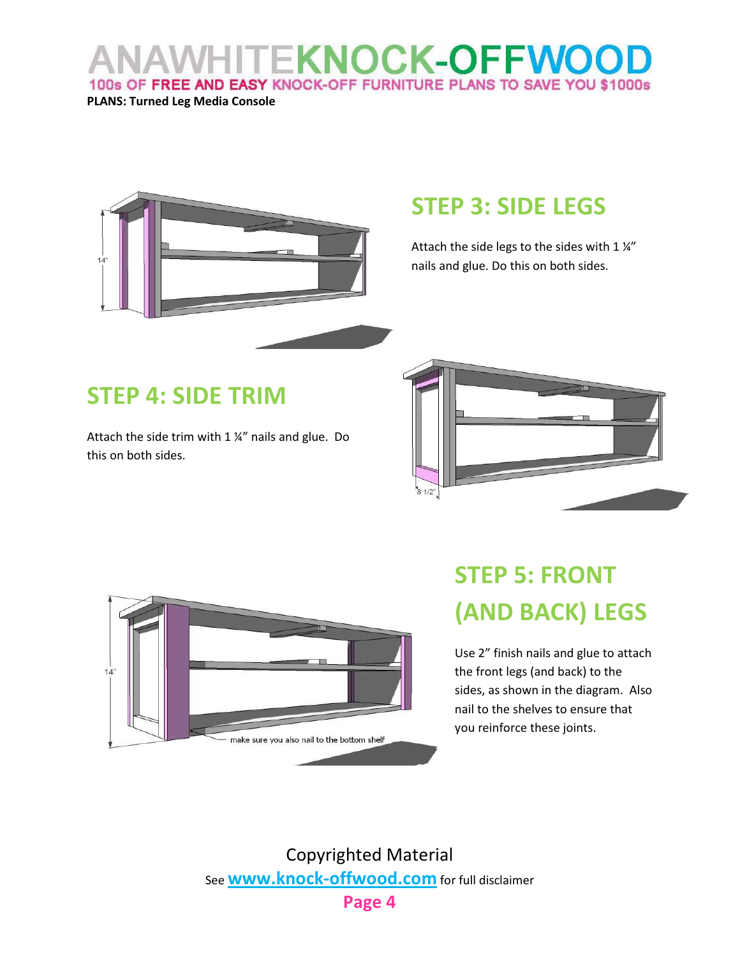#### **VHITEKNOCK-OFFWOO** 100s OF FREE AND EASY KNOCK-OFF FURNITURE PLANS TO SAVE YOU \$1000s

PLANS: Turned Leg Media Console



## STEP 3: SIDE LEGS

Attach the side legs to the sides with  $1\frac{1}{4}$ nails and glue. Do this on both sides.

## STEP 4: SIDE TRIM

Attach the side trim with 1 ¼" nails and glue. Do this on both sides.





# STEP 5: FRONT (AND BACK) LEGS

Use 2" finish nails and glue to attach the front legs (and back) to the sides, as shown in the diagram. Also nail to the shelves to ensure that you reinforce these joints.

Copyrighted Material See **www.knock-offwood.com** for full disclaimer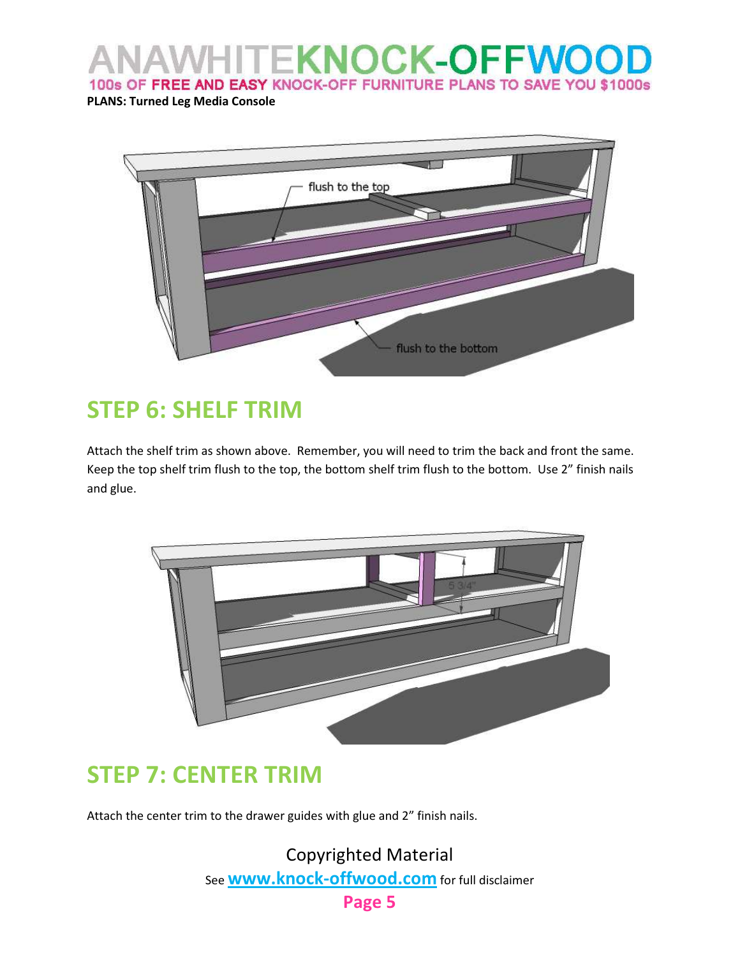AWHITEKNOCK-OFFWOO 100s OF FREE AND EASY KNOCK-OFF FURNITURE PLANS TO SAVE YOU \$1000s

PLANS: Turned Leg Media Console



## STEP 6: SHELF TRIM

Attach the shelf trim as shown above. Remember, you will need to trim the back and front the same. Keep the top shelf trim flush to the top, the bottom shelf trim flush to the bottom. Use 2" finish nails and glue.



#### STEP 7: CENTER TRIM

Attach the center trim to the drawer guides with glue and 2" finish nails.

Copyrighted Material See **WWW.knock-offwood.com** for full disclaimer Page 5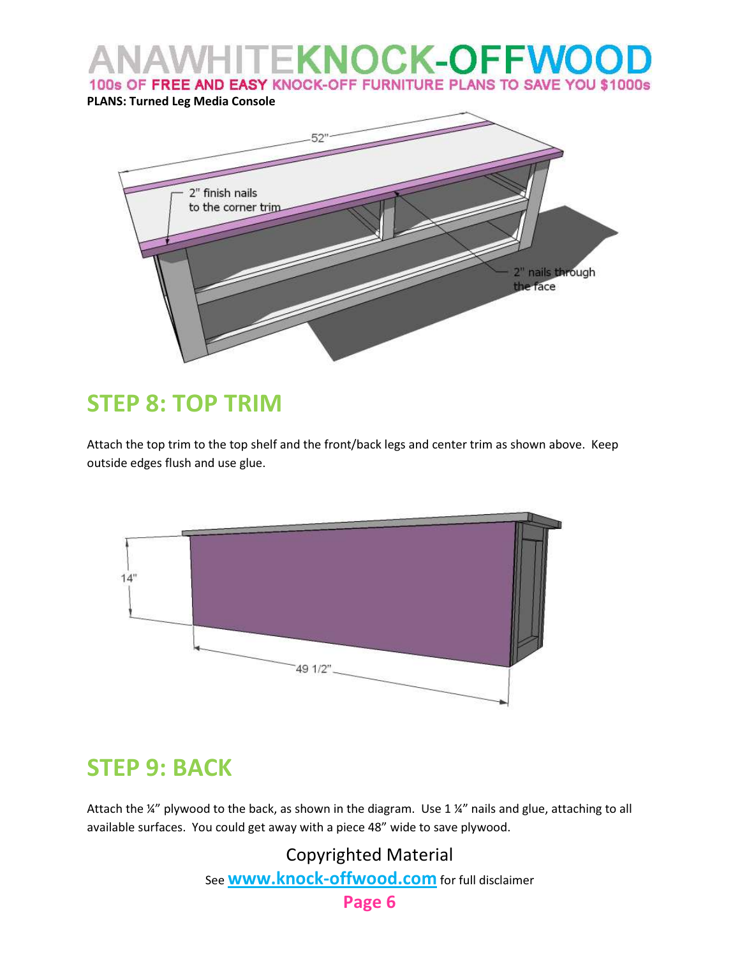

## STEP 8: TOP TRIM

Attach the top trim to the top shelf and the front/back legs and center trim as shown above. Keep outside edges flush and use glue.



#### STEP 9: BACK

Attach the  $\frac{1}{4}$ " plywood to the back, as shown in the diagram. Use 1  $\frac{1}{4}$ " nails and glue, attaching to all available surfaces. You could get away with a piece 48" wide to save plywood.

> Copyrighted Material See **www.knock-offwood.com** for full disclaimer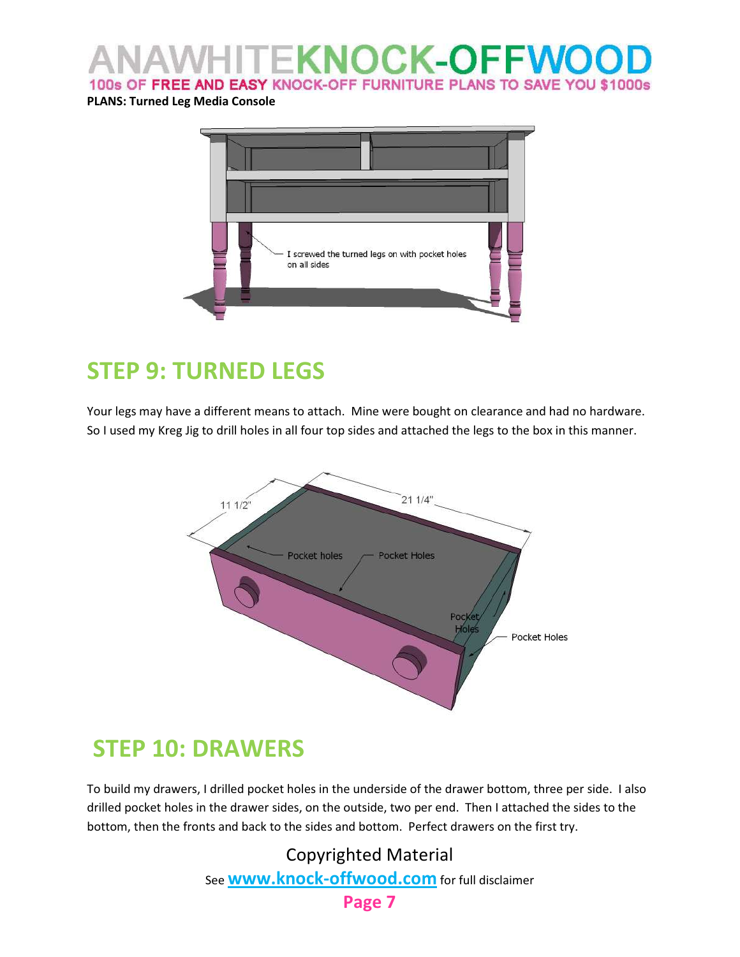#### **TEKNOCK-OFFWOO** 100s OF FREE AND EASY KNOCK-OFF FURNITURE PLANS TO SAVE YOU \$1000s

#### PLANS: Turned Leg Media Console



# STEP 9: TURNED LEGS

Your legs may have a different means to attach. Mine were bought on clearance and had no hardware. So I used my Kreg Jig to drill holes in all four top sides and attached the legs to the box in this manner.



#### STEP 10: DRAWERS

To build my drawers, I drilled pocket holes in the underside of the drawer bottom, three per side. I also drilled pocket holes in the drawer sides, on the outside, two per end. Then I attached the sides to the bottom, then the fronts and back to the sides and bottom. Perfect drawers on the first try.

> Copyrighted Material See **WWW.knock-offwood.com** for full disclaimer